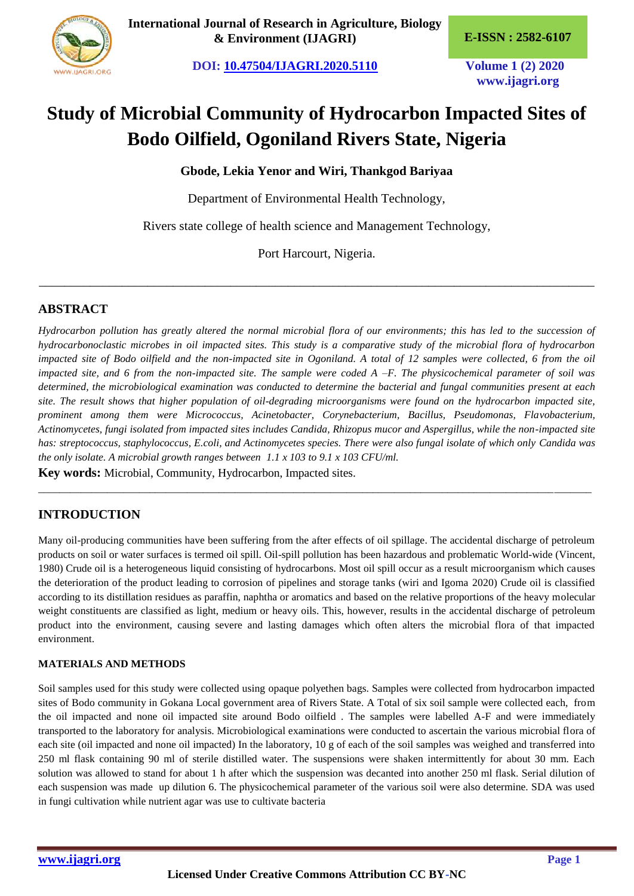

**International Journal of Research in Agriculture, Biology & Environment (IJAGRI) E-ISSN : 2582-6107**

**DOI: [10.47504/IJAGRI.2020.5110](http://doi.org/10.47504/IJAGRI.2020.5110) Volume 1 (2) 2020**

**www.ijagri.org**

# **Study of Microbial Community of Hydrocarbon Impacted Sites of Bodo Oilfield, Ogoniland Rivers State, Nigeria**

**Gbode, Lekia Yenor and Wiri, Thankgod Bariyaa**

Department of Environmental Health Technology,

Rivers state college of health science and Management Technology,

Port Harcourt, Nigeria.

\_\_\_\_\_\_\_\_\_\_\_\_\_\_\_\_\_\_\_\_\_\_\_\_\_\_\_\_\_\_\_\_\_\_\_\_\_\_\_\_\_\_\_\_\_\_\_\_\_\_\_\_\_\_\_\_\_\_\_\_\_\_\_\_\_\_\_\_\_\_\_\_\_\_\_\_\_\_\_\_\_\_\_\_\_\_\_

## **ABSTRACT**

*Hydrocarbon pollution has greatly altered the normal microbial flora of our environments; this has led to the succession of hydrocarbonoclastic microbes in oil impacted sites. This study is a comparative study of the microbial flora of hydrocarbon*  impacted site of Bodo oilfield and the non-impacted site in Ogoniland. A total of 12 samples were collected, 6 from the oil *impacted site, and 6 from the non-impacted site. The sample were coded A –F. The physicochemical parameter of soil was determined, the microbiological examination was conducted to determine the bacterial and fungal communities present at each site. The result shows that higher population of oil-degrading microorganisms were found on the hydrocarbon impacted site, prominent among them were Micrococcus, Acinetobacter, Corynebacterium, Bacillus, Pseudomonas, Flavobacterium, Actinomycetes, fungi isolated from impacted sites includes Candida, Rhizopus mucor and Aspergillus, while the non-impacted site has: streptococcus, staphylococcus, E.coli, and Actinomycetes species. There were also fungal isolate of which only Candida was the only isolate. A microbial growth ranges between 1.1 x 103 to 9.1 x 103 CFU/ml.*

\_\_\_\_\_\_\_\_\_\_\_\_\_\_\_\_\_\_\_\_\_\_\_\_\_\_\_\_\_\_\_\_\_\_\_\_\_\_\_\_\_\_\_\_\_\_\_\_\_\_\_\_\_\_\_\_\_\_\_\_\_\_\_\_\_\_\_\_\_\_\_\_\_\_\_\_\_\_\_\_\_\_\_\_\_\_\_\_\_\_\_\_\_\_\_\_\_\_\_\_\_\_\_\_

**Key words:** Microbial, Community, Hydrocarbon, Impacted sites.

# **INTRODUCTION**

Many oil-producing communities have been suffering from the after effects of oil spillage. The accidental discharge of petroleum products on soil or water surfaces is termed oil spill. Oil-spill pollution has been hazardous and problematic World-wide (Vincent, 1980) Crude oil is a heterogeneous liquid consisting of hydrocarbons. Most oil spill occur as a result microorganism which causes the deterioration of the product leading to corrosion of pipelines and storage tanks (wiri and Igoma 2020) Crude oil is classified according to its distillation residues as paraffin, naphtha or aromatics and based on the relative proportions of the heavy molecular weight constituents are classified as light, medium or heavy oils. This, however, results in the accidental discharge of petroleum product into the environment, causing severe and lasting damages which often alters the microbial flora of that impacted environment.

#### **MATERIALS AND METHODS**

Soil samples used for this study were collected using opaque polyethen bags. Samples were collected from hydrocarbon impacted sites of Bodo community in Gokana Local government area of Rivers State. A Total of six soil sample were collected each, from the oil impacted and none oil impacted site around Bodo oilfield . The samples were labelled A-F and were immediately transported to the laboratory for analysis. Microbiological examinations were conducted to ascertain the various microbial flora of each site (oil impacted and none oil impacted) In the laboratory, 10 g of each of the soil samples was weighed and transferred into 250 ml flask containing 90 ml of sterile distilled water. The suspensions were shaken intermittently for about 30 mm. Each solution was allowed to stand for about 1 h after which the suspension was decanted into another 250 ml flask. Serial dilution of each suspension was made up dilution 6. The physicochemical parameter of the various soil were also determine. SDA was used in fungi cultivation while nutrient agar was use to cultivate bacteria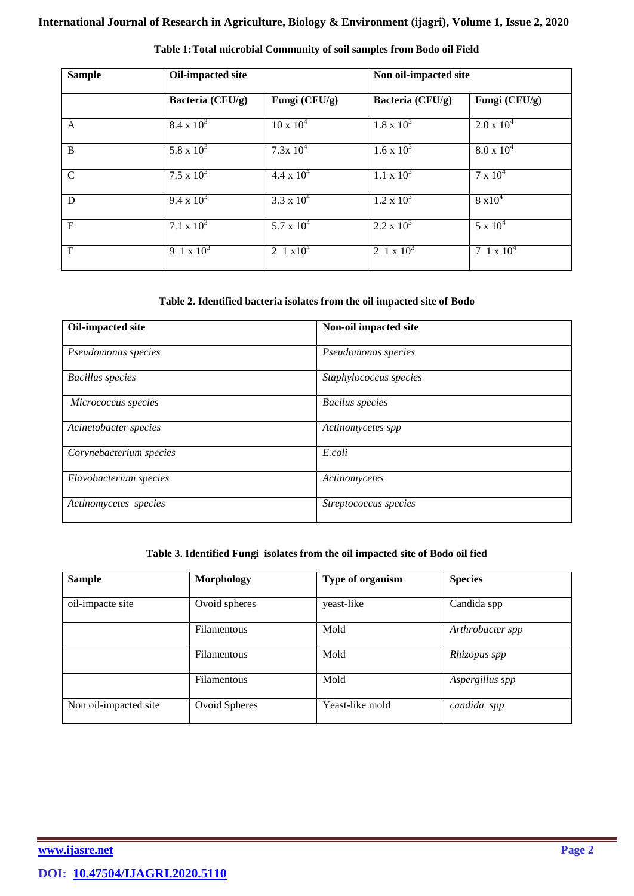| <b>Sample</b> | Oil-impacted site |                     | Non oil-impacted site |                     |
|---------------|-------------------|---------------------|-----------------------|---------------------|
|               | Bacteria (CFU/g)  | Fungi (CFU/g)       | Bacteria (CFU/g)      | Fungi (CFU/g)       |
| A             | $8.4 \times 10^3$ | $10 \times 10^4$    | $1.8 \times 10^3$     | $2.0 \times 10^4$   |
| B             | 5.8 x $10^3$      | $7.3x 10^4$         | $1.6 \times 10^3$     | $8.0 \times 10^{4}$ |
| $\mathcal{C}$ | $7.5 \times 10^3$ | $4.4 \times 10^{4}$ | $1.1 \times 10^3$     | $7 \times 10^4$     |
| D             | $9.4 \times 10^3$ | 3.3 x $10^4$        | $1.2 \times 10^3$     | $8 \times 10^4$     |
| E             | 7.1 x $10^3$      | 5.7 x $10^4$        | $2.2 \times 10^3$     | $5 \times 10^4$     |
| $\mathbf{F}$  | 9 1 x $10^3$      | 2 1 $\times 10^4$   | 2 1 x $10^3$          | 7 1 x $10^4$        |

#### **Table 1:Total microbial Community of soil samples from Bodo oil Field**

#### **Table 2. Identified bacteria isolates from the oil impacted site of Bodo**

| Oil-impacted site       | Non-oil impacted site  |  |
|-------------------------|------------------------|--|
| Pseudomonas species     | Pseudomonas species    |  |
| <b>Bacillus</b> species | Staphylococcus species |  |
| Micrococcus species     | <b>Bacilus</b> species |  |
| Acinetobacter species   | Actinomycetes spp      |  |
| Corynebacterium species | E.coli                 |  |
| Flavobacterium species  | Actinomycetes          |  |
| Actinomycetes species   | Streptococcus species  |  |

#### **Table 3. Identified Fungi isolates from the oil impacted site of Bodo oil fied**

| <b>Sample</b>         | <b>Morphology</b>  | Type of organism | <b>Species</b>   |
|-----------------------|--------------------|------------------|------------------|
| oil-impacte site      | Ovoid spheres      | yeast-like       | Candida spp      |
|                       | Filamentous        | Mold             | Arthrobacter spp |
|                       | <b>Filamentous</b> | Mold             | Rhizopus spp     |
|                       | <b>Filamentous</b> | Mold             | Aspergillus spp  |
| Non oil-impacted site | Ovoid Spheres      | Yeast-like mold  | candida spp      |